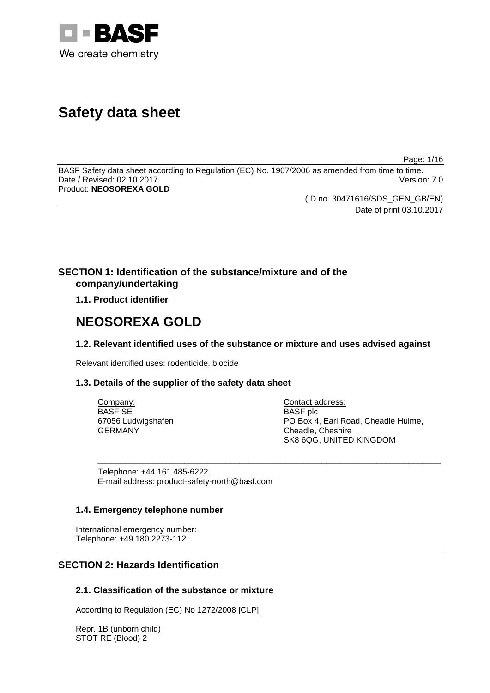

# **Safety data sheet**

Page: 1/16

BASF Safety data sheet according to Regulation (EC) No. 1907/2006 as amended from time to time. Date / Revised: 02.10.2017 Product: **NEOSOREXA GOLD**

(ID no. 30471616/SDS\_GEN\_GB/EN)

Date of print 03.10.2017

# **SECTION 1: Identification of the substance/mixture and of the company/undertaking**

**1.1. Product identifier**

# **NEOSOREXA GOLD**

# **1.2. Relevant identified uses of the substance or mixture and uses advised against**

Relevant identified uses: rodenticide, biocide

# **1.3. Details of the supplier of the safety data sheet**

| Company:           | Contact address:                    |
|--------------------|-------------------------------------|
| BASF SE            | <b>BASF</b> plc                     |
| 67056 Ludwigshafen | PO Box 4, Earl Road, Cheadle Hulme, |
| GERMANY            | Cheadle, Cheshire                   |
|                    | SK8 6QG, UNITED KINGDOM             |

\_\_\_\_\_\_\_\_\_\_\_\_\_\_\_\_\_\_\_\_\_\_\_\_\_\_\_\_\_\_\_\_\_\_\_\_\_\_\_\_\_\_\_\_\_\_\_\_\_\_\_\_\_\_\_\_\_\_\_\_\_\_\_\_\_\_\_\_\_\_\_\_\_\_\_

Telephone: +44 161 485-6222 E-mail address: product-safety-north@basf.com

# **1.4. Emergency telephone number**

International emergency number: Telephone: +49 180 2273-112

# **SECTION 2: Hazards Identification**

# **2.1. Classification of the substance or mixture**

According to Regulation (EC) No 1272/2008 [CLP]

Repr. 1B (unborn child) STOT RE (Blood) 2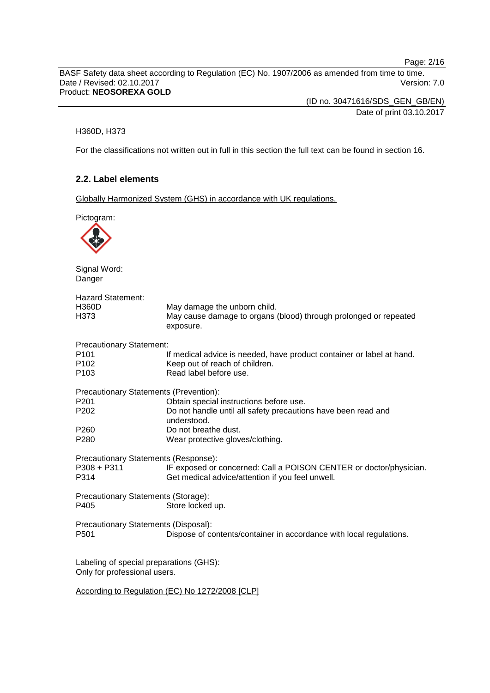Page: 2/16

BASF Safety data sheet according to Regulation (EC) No. 1907/2006 as amended from time to time. Date / Revised: 02.10.2017 Version: 7.0 Product: **NEOSOREXA GOLD**

> (ID no. 30471616/SDS\_GEN\_GB/EN) Date of print 03.10.2017

#### H360D, H373

For the classifications not written out in full in this section the full text can be found in section 16.

# **2.2. Label elements**

Globally Harmonized System (GHS) in accordance with UK regulations.

Pictogram: Signal Word: Danger Hazard Statement: H360D May damage the unborn child. H373 May cause damage to organs (blood) through prolonged or repeated exposure. Precautionary Statement: P101 If medical advice is needed, have product container or label at hand.<br>P102 Seep out of reach of children. P102 Keep out of reach of children.<br>P103 Read label before use. Read label before use. Precautionary Statements (Prevention): P201 **Obtain special instructions before use.**<br>P202 Do not handle until all safety precaution Do not handle until all safety precautions have been read and understood. P260 Do not breathe dust.<br>P280 Wear protective dlov Wear protective gloves/clothing. Precautionary Statements (Response):<br>P308 + P311 IF exposed or P308 + P311 IF exposed or concerned: Call a POISON CENTER or doctor/physician.<br>P314 Get medical advice/attention if you feel unwell. Get medical advice/attention if you feel unwell. Precautionary Statements (Storage): P405 Store locked up. Precautionary Statements (Disposal): P501 Dispose of contents/container in accordance with local regulations. Labeling of special preparations (GHS): Only for professional users. According to Regulation (EC) No 1272/2008 [CLP]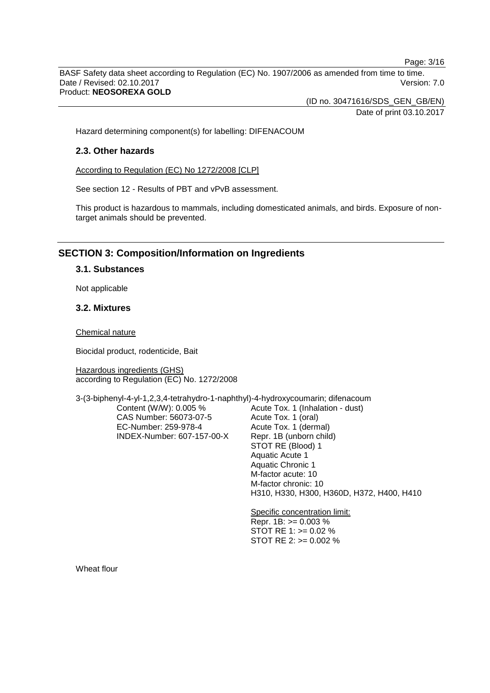Page: 3/16

BASF Safety data sheet according to Regulation (EC) No. 1907/2006 as amended from time to time. Date / Revised: 02.10.2017 Version: 7.0 Product: **NEOSOREXA GOLD**

(ID no. 30471616/SDS\_GEN\_GB/EN)

Date of print 03.10.2017

Hazard determining component(s) for labelling: DIFENACOUM

## **2.3. Other hazards**

According to Regulation (EC) No 1272/2008 [CLP]

See section 12 - Results of PBT and vPvB assessment.

This product is hazardous to mammals, including domesticated animals, and birds. Exposure of nontarget animals should be prevented.

# **SECTION 3: Composition/Information on Ingredients**

## **3.1. Substances**

Not applicable

## **3.2. Mixtures**

Chemical nature

Biocidal product, rodenticide, Bait

Hazardous ingredients (GHS) according to Regulation (EC) No. 1272/2008

3-(3-biphenyl-4-yl-1,2,3,4-tetrahydro-1-naphthyl)-4-hydroxycoumarin; difenacoum

Content (W/W): 0.005 % CAS Number: 56073-07-5 EC-Number: 259-978-4 INDEX-Number: 607-157-00-X Acute Tox. 1 (Inhalation - dust) Acute Tox. 1 (oral) Acute Tox. 1 (dermal) Repr. 1B (unborn child) STOT RE (Blood) 1 Aquatic Acute 1 Aquatic Chronic 1 M-factor acute: 10 M-factor chronic: 10 H310, H330, H300, H360D, H372, H400, H410

Specific concentration limit: Repr. 1B: >= 0.003 % STOT RE 1: >= 0.02 % STOT RE 2: >= 0.002 %

Wheat flour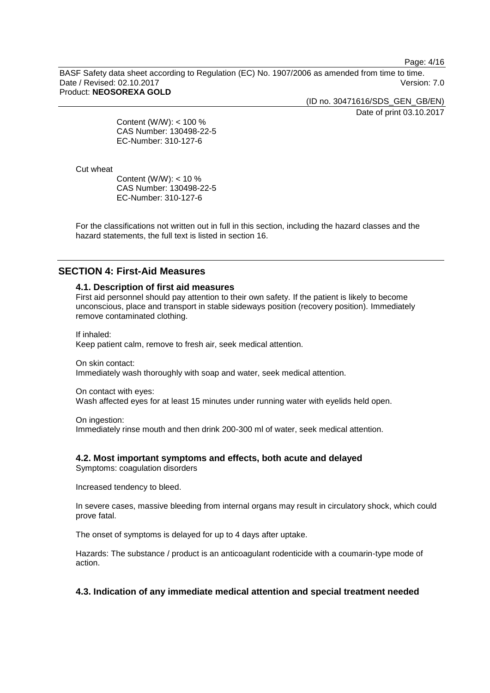Page: 4/16

BASF Safety data sheet according to Regulation (EC) No. 1907/2006 as amended from time to time. Date / Revised: 02.10.2017 Version: 7.0 Product: **NEOSOREXA GOLD**

(ID no. 30471616/SDS\_GEN\_GB/EN)

Date of print 03.10.2017

Content (W/W): < 100 % CAS Number: 130498-22-5 EC-Number: 310-127-6

Cut wheat

Content (W/W): < 10 % CAS Number: 130498-22-5 EC-Number: 310-127-6

For the classifications not written out in full in this section, including the hazard classes and the hazard statements, the full text is listed in section 16.

# **SECTION 4: First-Aid Measures**

# **4.1. Description of first aid measures**

First aid personnel should pay attention to their own safety. If the patient is likely to become unconscious, place and transport in stable sideways position (recovery position). Immediately remove contaminated clothing.

If inhaled: Keep patient calm, remove to fresh air, seek medical attention.

On skin contact: Immediately wash thoroughly with soap and water, seek medical attention.

On contact with eyes:

Wash affected eyes for at least 15 minutes under running water with eyelids held open.

On ingestion:

Immediately rinse mouth and then drink 200-300 ml of water, seek medical attention.

# **4.2. Most important symptoms and effects, both acute and delayed**

Symptoms: coagulation disorders

Increased tendency to bleed.

In severe cases, massive bleeding from internal organs may result in circulatory shock, which could prove fatal.

The onset of symptoms is delayed for up to 4 days after uptake.

Hazards: The substance / product is an anticoagulant rodenticide with a coumarin-type mode of action.

# **4.3. Indication of any immediate medical attention and special treatment needed**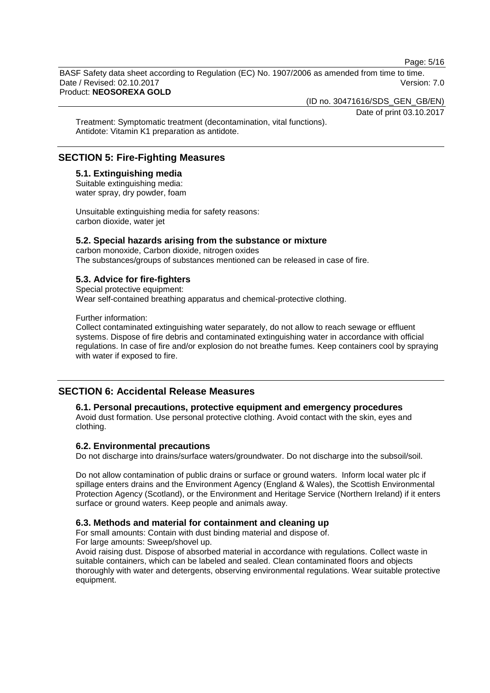Page: 5/16

BASF Safety data sheet according to Regulation (EC) No. 1907/2006 as amended from time to time. Date / Revised: 02.10.2017 **Version: 7.0** Product: **NEOSOREXA GOLD**

(ID no. 30471616/SDS\_GEN\_GB/EN)

Date of print 03.10.2017

Treatment: Symptomatic treatment (decontamination, vital functions). Antidote: Vitamin K1 preparation as antidote.

# **SECTION 5: Fire-Fighting Measures**

**5.1. Extinguishing media** Suitable extinguishing media: water spray, dry powder, foam

Unsuitable extinguishing media for safety reasons: carbon dioxide, water jet

# **5.2. Special hazards arising from the substance or mixture**

carbon monoxide, Carbon dioxide, nitrogen oxides The substances/groups of substances mentioned can be released in case of fire.

# **5.3. Advice for fire-fighters**

Special protective equipment: Wear self-contained breathing apparatus and chemical-protective clothing.

Further information:

Collect contaminated extinguishing water separately, do not allow to reach sewage or effluent systems. Dispose of fire debris and contaminated extinguishing water in accordance with official regulations. In case of fire and/or explosion do not breathe fumes. Keep containers cool by spraying with water if exposed to fire.

# **SECTION 6: Accidental Release Measures**

#### **6.1. Personal precautions, protective equipment and emergency procedures**

Avoid dust formation. Use personal protective clothing. Avoid contact with the skin, eyes and clothing.

# **6.2. Environmental precautions**

Do not discharge into drains/surface waters/groundwater. Do not discharge into the subsoil/soil.

Do not allow contamination of public drains or surface or ground waters. Inform local water plc if spillage enters drains and the Environment Agency (England & Wales), the Scottish Environmental Protection Agency (Scotland), or the Environment and Heritage Service (Northern Ireland) if it enters surface or ground waters. Keep people and animals away.

# **6.3. Methods and material for containment and cleaning up**

For small amounts: Contain with dust binding material and dispose of. For large amounts: Sweep/shovel up.

Avoid raising dust. Dispose of absorbed material in accordance with regulations. Collect waste in suitable containers, which can be labeled and sealed. Clean contaminated floors and objects thoroughly with water and detergents, observing environmental regulations. Wear suitable protective equipment.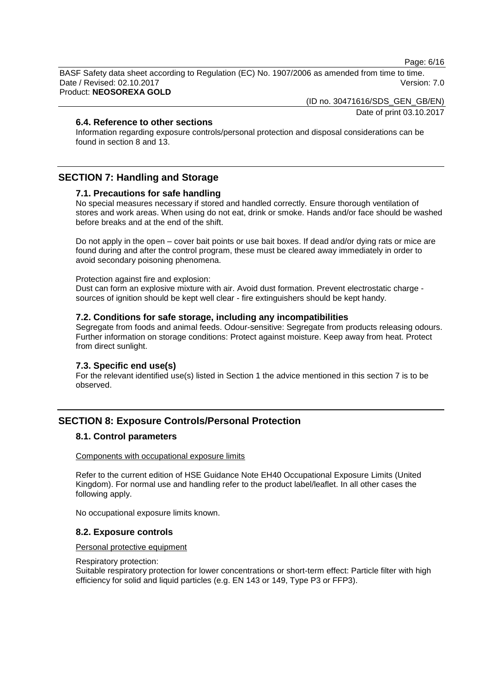Page: 6/16

BASF Safety data sheet according to Regulation (EC) No. 1907/2006 as amended from time to time. Date / Revised: 02.10.2017 **Version: 7.0** Product: **NEOSOREXA GOLD**

(ID no. 30471616/SDS\_GEN\_GB/EN)

Date of print 03.10.2017

# **6.4. Reference to other sections**

Information regarding exposure controls/personal protection and disposal considerations can be found in section 8 and 13.

# **SECTION 7: Handling and Storage**

## **7.1. Precautions for safe handling**

No special measures necessary if stored and handled correctly. Ensure thorough ventilation of stores and work areas. When using do not eat, drink or smoke. Hands and/or face should be washed before breaks and at the end of the shift.

Do not apply in the open – cover bait points or use bait boxes. If dead and/or dying rats or mice are found during and after the control program, these must be cleared away immediately in order to avoid secondary poisoning phenomena.

Protection against fire and explosion:

Dust can form an explosive mixture with air. Avoid dust formation. Prevent electrostatic charge sources of ignition should be kept well clear - fire extinguishers should be kept handy.

#### **7.2. Conditions for safe storage, including any incompatibilities**

Segregate from foods and animal feeds. Odour-sensitive: Segregate from products releasing odours. Further information on storage conditions: Protect against moisture. Keep away from heat. Protect from direct sunlight.

#### **7.3. Specific end use(s)**

For the relevant identified use(s) listed in Section 1 the advice mentioned in this section 7 is to be observed.

# **SECTION 8: Exposure Controls/Personal Protection**

# **8.1. Control parameters**

#### Components with occupational exposure limits

Refer to the current edition of HSE Guidance Note EH40 Occupational Exposure Limits (United Kingdom). For normal use and handling refer to the product label/leaflet. In all other cases the following apply.

No occupational exposure limits known.

#### **8.2. Exposure controls**

#### Personal protective equipment

#### Respiratory protection:

Suitable respiratory protection for lower concentrations or short-term effect: Particle filter with high efficiency for solid and liquid particles (e.g. EN 143 or 149, Type P3 or FFP3).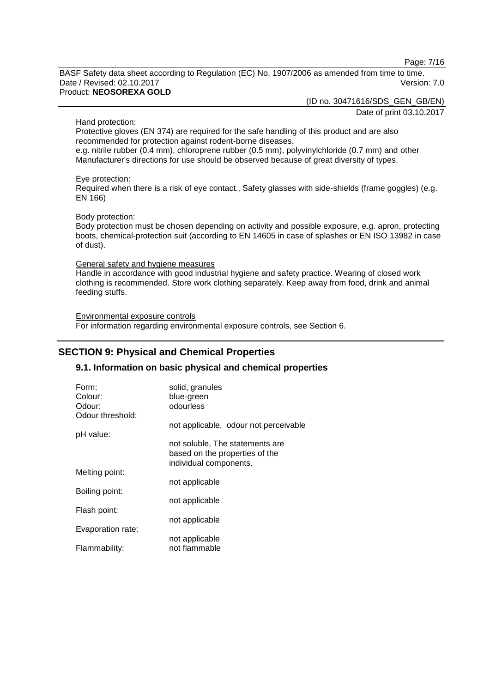Page: 7/16

BASF Safety data sheet according to Regulation (EC) No. 1907/2006 as amended from time to time. Date / Revised: 02.10.2017 Version: 7.0 Product: **NEOSOREXA GOLD**

(ID no. 30471616/SDS\_GEN\_GB/EN)

Date of print 03.10.2017

Hand protection:

Protective gloves (EN 374) are required for the safe handling of this product and are also recommended for protection against rodent-borne diseases.

e.g. nitrile rubber (0.4 mm), chloroprene rubber (0.5 mm), polyvinylchloride (0.7 mm) and other Manufacturer's directions for use should be observed because of great diversity of types.

Eye protection:

Required when there is a risk of eye contact., Safety glasses with side-shields (frame goggles) (e.g. EN 166)

#### Body protection:

Body protection must be chosen depending on activity and possible exposure, e.g. apron, protecting boots, chemical-protection suit (according to EN 14605 in case of splashes or EN ISO 13982 in case of dust).

#### General safety and hygiene measures

Handle in accordance with good industrial hygiene and safety practice. Wearing of closed work clothing is recommended. Store work clothing separately. Keep away from food, drink and animal feeding stuffs.

Environmental exposure controls For information regarding environmental exposure controls, see Section 6.

# **SECTION 9: Physical and Chemical Properties**

# **9.1. Information on basic physical and chemical properties**

| Form:             | solid, granules                                                                             |
|-------------------|---------------------------------------------------------------------------------------------|
| Colour:           | blue-green                                                                                  |
| Odour:            | odourless                                                                                   |
| Odour threshold:  |                                                                                             |
|                   | not applicable, odour not perceivable                                                       |
| pH value:         |                                                                                             |
|                   | not soluble. The statements are<br>based on the properties of the<br>individual components. |
| Melting point:    |                                                                                             |
|                   | not applicable                                                                              |
| Boiling point:    |                                                                                             |
|                   | not applicable                                                                              |
| Flash point:      |                                                                                             |
|                   | not applicable                                                                              |
| Evaporation rate: |                                                                                             |
|                   | not applicable                                                                              |
| Flammability:     | not flammable                                                                               |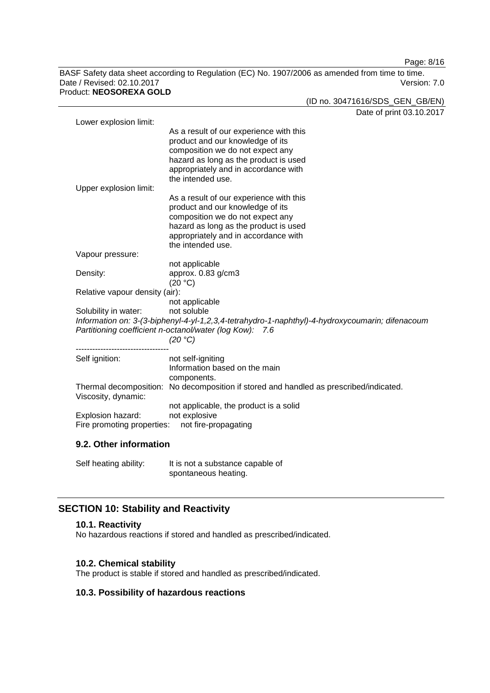Page: 8/16

BASF Safety data sheet according to Regulation (EC) No. 1907/2006 as amended from time to time. Date / Revised: 02.10.2017 Version: 7.0 Product: **NEOSOREXA GOLD**

(ID no. 30471616/SDS\_GEN\_GB/EN)

|                                                                                                                                                            | Date of print 03.10.2017                                                               |  |
|------------------------------------------------------------------------------------------------------------------------------------------------------------|----------------------------------------------------------------------------------------|--|
| Lower explosion limit:                                                                                                                                     |                                                                                        |  |
|                                                                                                                                                            | As a result of our experience with this                                                |  |
|                                                                                                                                                            | product and our knowledge of its                                                       |  |
|                                                                                                                                                            | composition we do not expect any                                                       |  |
|                                                                                                                                                            | hazard as long as the product is used                                                  |  |
|                                                                                                                                                            | appropriately and in accordance with<br>the intended use.                              |  |
| Upper explosion limit:                                                                                                                                     |                                                                                        |  |
|                                                                                                                                                            | As a result of our experience with this                                                |  |
|                                                                                                                                                            | product and our knowledge of its                                                       |  |
|                                                                                                                                                            | composition we do not expect any                                                       |  |
|                                                                                                                                                            | hazard as long as the product is used                                                  |  |
|                                                                                                                                                            | appropriately and in accordance with                                                   |  |
|                                                                                                                                                            | the intended use.                                                                      |  |
| Vapour pressure:                                                                                                                                           |                                                                                        |  |
|                                                                                                                                                            | not applicable                                                                         |  |
| Density:                                                                                                                                                   | approx. 0.83 g/cm3                                                                     |  |
|                                                                                                                                                            | (20 °C)                                                                                |  |
| Relative vapour density (air):                                                                                                                             |                                                                                        |  |
|                                                                                                                                                            | not applicable                                                                         |  |
| Solubility in water:                                                                                                                                       | not soluble                                                                            |  |
| Information on: 3-(3-biphenyl-4-yl-1,2,3,4-tetrahydro-1-naphthyl)-4-hydroxycoumarin; difenacoum<br>Partitioning coefficient n-octanol/water (log Kow): 7.6 |                                                                                        |  |
|                                                                                                                                                            | (20 °C)                                                                                |  |
|                                                                                                                                                            |                                                                                        |  |
| Self ignition:                                                                                                                                             | not self-igniting                                                                      |  |
|                                                                                                                                                            | Information based on the main                                                          |  |
|                                                                                                                                                            | components.                                                                            |  |
|                                                                                                                                                            | Thermal decomposition: No decomposition if stored and handled as prescribed/indicated. |  |
| Viscosity, dynamic:                                                                                                                                        |                                                                                        |  |
|                                                                                                                                                            | not applicable, the product is a solid                                                 |  |
| Explosion hazard:                                                                                                                                          | not explosive                                                                          |  |
| Fire promoting properties:<br>not fire-propagating                                                                                                         |                                                                                        |  |
|                                                                                                                                                            |                                                                                        |  |
| 9.2. Other information                                                                                                                                     |                                                                                        |  |

Self heating ability: It is not a substance capable of

# spontaneous heating.

# **SECTION 10: Stability and Reactivity**

# **10.1. Reactivity**

No hazardous reactions if stored and handled as prescribed/indicated.

# **10.2. Chemical stability**

The product is stable if stored and handled as prescribed/indicated.

# **10.3. Possibility of hazardous reactions**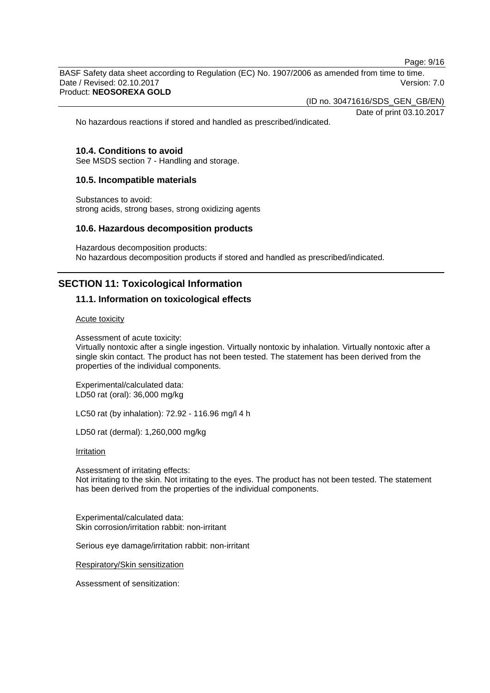Page: 9/16

BASF Safety data sheet according to Regulation (EC) No. 1907/2006 as amended from time to time. Date / Revised: 02.10.2017 Version: 7.0 Product: **NEOSOREXA GOLD**

(ID no. 30471616/SDS\_GEN\_GB/EN)

Date of print 03.10.2017

No hazardous reactions if stored and handled as prescribed/indicated.

## **10.4. Conditions to avoid**

See MSDS section 7 - Handling and storage.

## **10.5. Incompatible materials**

Substances to avoid: strong acids, strong bases, strong oxidizing agents

#### **10.6. Hazardous decomposition products**

Hazardous decomposition products: No hazardous decomposition products if stored and handled as prescribed/indicated.

# **SECTION 11: Toxicological Information**

## **11.1. Information on toxicological effects**

Acute toxicity

Assessment of acute toxicity:

Virtually nontoxic after a single ingestion. Virtually nontoxic by inhalation. Virtually nontoxic after a single skin contact. The product has not been tested. The statement has been derived from the properties of the individual components.

Experimental/calculated data: LD50 rat (oral): 36,000 mg/kg

LC50 rat (by inhalation): 72.92 - 116.96 mg/l 4 h

LD50 rat (dermal): 1,260,000 mg/kg

**Irritation** 

Assessment of irritating effects: Not irritating to the skin. Not irritating to the eyes. The product has not been tested. The statement has been derived from the properties of the individual components.

Experimental/calculated data: Skin corrosion/irritation rabbit: non-irritant

Serious eye damage/irritation rabbit: non-irritant

Respiratory/Skin sensitization

Assessment of sensitization: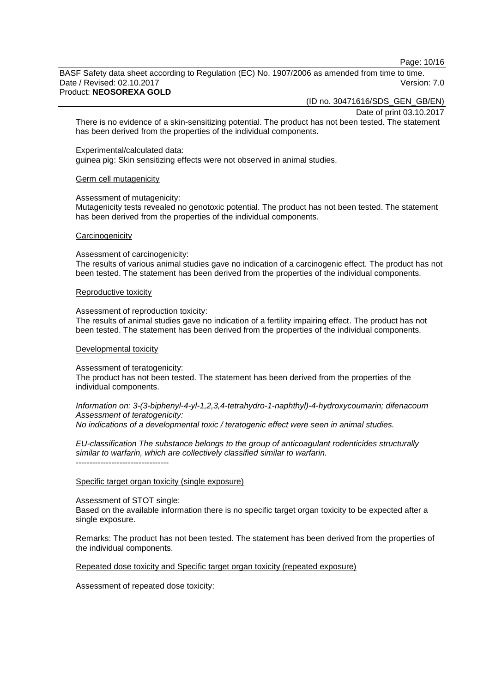Page: 10/16

BASF Safety data sheet according to Regulation (EC) No. 1907/2006 as amended from time to time. Date / Revised: 02.10.2017 **Version: 7.0** Product: **NEOSOREXA GOLD**

(ID no. 30471616/SDS\_GEN\_GB/EN)

Date of print 03.10.2017

There is no evidence of a skin-sensitizing potential. The product has not been tested. The statement has been derived from the properties of the individual components.

Experimental/calculated data:

guinea pig: Skin sensitizing effects were not observed in animal studies.

#### Germ cell mutagenicity

Assessment of mutagenicity:

Mutagenicity tests revealed no genotoxic potential. The product has not been tested. The statement has been derived from the properties of the individual components.

#### **Carcinogenicity**

Assessment of carcinogenicity:

The results of various animal studies gave no indication of a carcinogenic effect. The product has not been tested. The statement has been derived from the properties of the individual components.

#### Reproductive toxicity

Assessment of reproduction toxicity:

The results of animal studies gave no indication of a fertility impairing effect. The product has not been tested. The statement has been derived from the properties of the individual components.

#### Developmental toxicity

Assessment of teratogenicity:

The product has not been tested. The statement has been derived from the properties of the individual components.

*Information on: 3-(3-biphenyl-4-yl-1,2,3,4-tetrahydro-1-naphthyl)-4-hydroxycoumarin; difenacoum Assessment of teratogenicity:*

*No indications of a developmental toxic / teratogenic effect were seen in animal studies.*

*EU-classification The substance belongs to the group of anticoagulant rodenticides structurally similar to warfarin, which are collectively classified similar to warfarin.* ----------------------------------

#### Specific target organ toxicity (single exposure)

Assessment of STOT single:

Based on the available information there is no specific target organ toxicity to be expected after a single exposure.

Remarks: The product has not been tested. The statement has been derived from the properties of the individual components.

Repeated dose toxicity and Specific target organ toxicity (repeated exposure)

Assessment of repeated dose toxicity: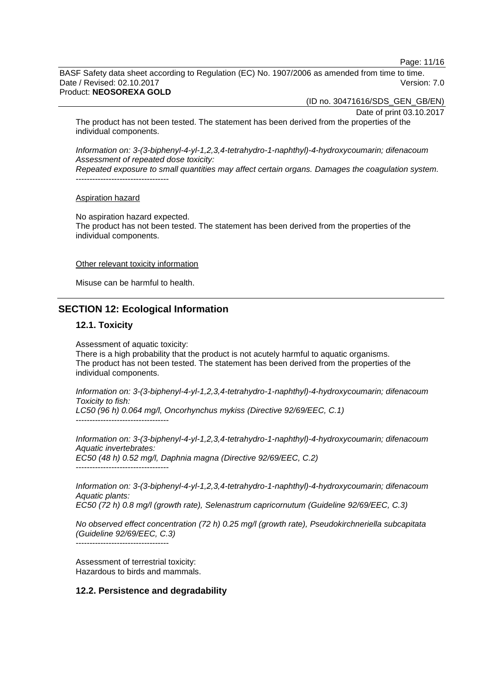Page: 11/16

BASF Safety data sheet according to Regulation (EC) No. 1907/2006 as amended from time to time. Date / Revised: 02.10.2017 Version: 7.0 Product: **NEOSOREXA GOLD**

(ID no. 30471616/SDS\_GEN\_GB/EN)

Date of print 03.10.2017

The product has not been tested. The statement has been derived from the properties of the individual components.

*Information on: 3-(3-biphenyl-4-yl-1,2,3,4-tetrahydro-1-naphthyl)-4-hydroxycoumarin; difenacoum Assessment of repeated dose toxicity:*

*Repeated exposure to small quantities may affect certain organs. Damages the coagulation system.* ----------------------------------

#### Aspiration hazard

No aspiration hazard expected. The product has not been tested. The statement has been derived from the properties of the individual components.

#### Other relevant toxicity information

Misuse can be harmful to health.

# **SECTION 12: Ecological Information**

#### **12.1. Toxicity**

Assessment of aquatic toxicity:

There is a high probability that the product is not acutely harmful to aquatic organisms. The product has not been tested. The statement has been derived from the properties of the individual components.

*Information on: 3-(3-biphenyl-4-yl-1,2,3,4-tetrahydro-1-naphthyl)-4-hydroxycoumarin; difenacoum Toxicity to fish:*

*LC50 (96 h) 0.064 mg/l, Oncorhynchus mykiss (Directive 92/69/EEC, C.1)* ----------------------------------

*Information on: 3-(3-biphenyl-4-yl-1,2,3,4-tetrahydro-1-naphthyl)-4-hydroxycoumarin; difenacoum Aquatic invertebrates: EC50 (48 h) 0.52 mg/l, Daphnia magna (Directive 92/69/EEC, C.2)* ----------------------------------

*Information on: 3-(3-biphenyl-4-yl-1,2,3,4-tetrahydro-1-naphthyl)-4-hydroxycoumarin; difenacoum Aquatic plants: EC50 (72 h) 0.8 mg/l (growth rate), Selenastrum capricornutum (Guideline 92/69/EEC, C.3)*

*No observed effect concentration (72 h) 0.25 mg/l (growth rate), Pseudokirchneriella subcapitata (Guideline 92/69/EEC, C.3)*

----------------------------------

Assessment of terrestrial toxicity: Hazardous to birds and mammals.

# **12.2. Persistence and degradability**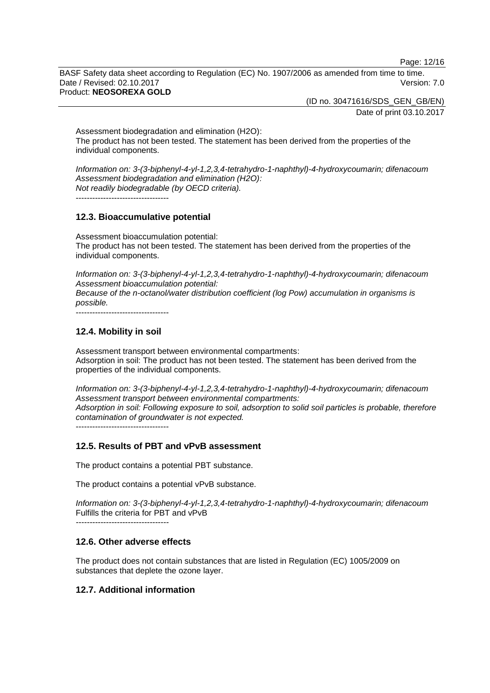Page: 12/16

BASF Safety data sheet according to Regulation (EC) No. 1907/2006 as amended from time to time. Date / Revised: 02.10.2017 **Version: 7.0** Product: **NEOSOREXA GOLD**

> (ID no. 30471616/SDS\_GEN\_GB/EN) Date of print 03.10.2017

Assessment biodegradation and elimination (H2O): The product has not been tested. The statement has been derived from the properties of the individual components.

*Information on: 3-(3-biphenyl-4-yl-1,2,3,4-tetrahydro-1-naphthyl)-4-hydroxycoumarin; difenacoum Assessment biodegradation and elimination (H2O): Not readily biodegradable (by OECD criteria).*

----------------------------------

## **12.3. Bioaccumulative potential**

Assessment bioaccumulation potential: The product has not been tested. The statement has been derived from the properties of the individual components.

*Information on: 3-(3-biphenyl-4-yl-1,2,3,4-tetrahydro-1-naphthyl)-4-hydroxycoumarin; difenacoum Assessment bioaccumulation potential:*

*Because of the n-octanol/water distribution coefficient (log Pow) accumulation in organisms is possible.*

----------------------------------

# **12.4. Mobility in soil**

Assessment transport between environmental compartments: Adsorption in soil: The product has not been tested. The statement has been derived from the properties of the individual components.

*Information on: 3-(3-biphenyl-4-yl-1,2,3,4-tetrahydro-1-naphthyl)-4-hydroxycoumarin; difenacoum Assessment transport between environmental compartments: Adsorption in soil: Following exposure to soil, adsorption to solid soil particles is probable, therefore contamination of groundwater is not expected.*

----------------------------------

# **12.5. Results of PBT and vPvB assessment**

The product contains a potential PBT substance.

The product contains a potential vPvB substance.

*Information on: 3-(3-biphenyl-4-yl-1,2,3,4-tetrahydro-1-naphthyl)-4-hydroxycoumarin; difenacoum* Fulfills the criteria for PBT and vPvB

*----------------------------------*

# **12.6. Other adverse effects**

The product does not contain substances that are listed in Regulation (EC) 1005/2009 on substances that deplete the ozone layer.

# **12.7. Additional information**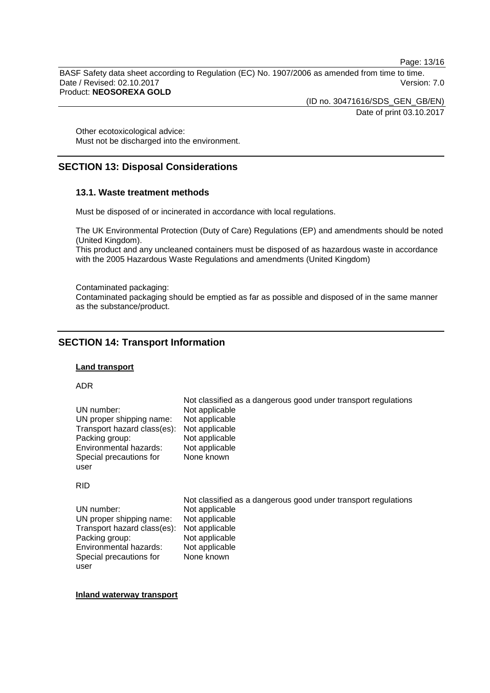Page: 13/16

BASF Safety data sheet according to Regulation (EC) No. 1907/2006 as amended from time to time. Date / Revised: 02.10.2017 Version: 7.0 Product: **NEOSOREXA GOLD**

> (ID no. 30471616/SDS\_GEN\_GB/EN) Date of print 03.10.2017

Other ecotoxicological advice: Must not be discharged into the environment.

# **SECTION 13: Disposal Considerations**

# **13.1. Waste treatment methods**

Must be disposed of or incinerated in accordance with local regulations.

The UK Environmental Protection (Duty of Care) Regulations (EP) and amendments should be noted (United Kingdom).

This product and any uncleaned containers must be disposed of as hazardous waste in accordance with the 2005 Hazardous Waste Regulations and amendments (United Kingdom)

Contaminated packaging:

Contaminated packaging should be emptied as far as possible and disposed of in the same manner as the substance/product.

# **SECTION 14: Transport Information**

#### **Land transport**

#### ADR

|                             | Not classified as a dangerous good under transport regulations |
|-----------------------------|----------------------------------------------------------------|
| UN number:                  | Not applicable                                                 |
| UN proper shipping name:    | Not applicable                                                 |
| Transport hazard class(es): | Not applicable                                                 |
| Packing group:              | Not applicable                                                 |
| Environmental hazards:      | Not applicable                                                 |
| Special precautions for     | None known                                                     |
| user                        |                                                                |

#### RID

|                             | Not classified as a dangerous good under transport regulations |
|-----------------------------|----------------------------------------------------------------|
| UN number:                  | Not applicable                                                 |
| UN proper shipping name:    | Not applicable                                                 |
| Transport hazard class(es): | Not applicable                                                 |
| Packing group:              | Not applicable                                                 |
| Environmental hazards:      | Not applicable                                                 |
| Special precautions for     | None known                                                     |
| user                        |                                                                |

**Inland waterway transport**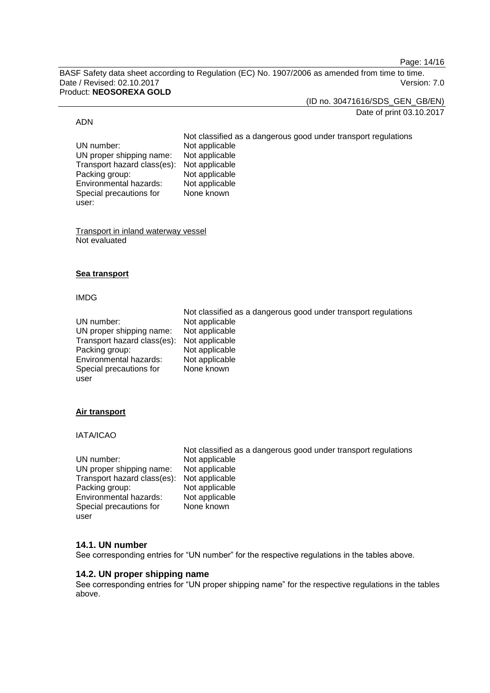Page: 14/16

BASF Safety data sheet according to Regulation (EC) No. 1907/2006 as amended from time to time. Date / Revised: 02.10.2017 Version: 7.0 Product: **NEOSOREXA GOLD**

(ID no. 30471616/SDS\_GEN\_GB/EN)

### Date of print 03.10.2017

#### ADN

UN number: Not applicable<br>UN proper shipping name: Not applicable UN proper shipping name: Transport hazard class(es): Not applicable<br>Packing group: Not applicable Packing group: Not applicable<br>
Environmental hazards: Not applicable Environmental hazards: Special precautions for user:

Not classified as a dangerous good under transport regulations None known

Transport in inland waterway vessel Not evaluated

## **Sea transport**

#### IMDG

|                             | Not classified as a dangerous good under transport regulations |
|-----------------------------|----------------------------------------------------------------|
| UN number:                  | Not applicable                                                 |
| UN proper shipping name:    | Not applicable                                                 |
| Transport hazard class(es): | Not applicable                                                 |
| Packing group:              | Not applicable                                                 |
| Environmental hazards:      | Not applicable                                                 |
| Special precautions for     | None known                                                     |
| user                        |                                                                |

# **Air transport**

IATA/ICAO

| Not classified as a dangerous good under transport regulations |
|----------------------------------------------------------------|
| Not applicable                                                 |
| Not applicable                                                 |
| Transport hazard class(es): Not applicable                     |
| Not applicable                                                 |
| Not applicable                                                 |
| None known                                                     |
|                                                                |
|                                                                |

# **14.1. UN number**

See corresponding entries for "UN number" for the respective regulations in the tables above.

## **14.2. UN proper shipping name**

See corresponding entries for "UN proper shipping name" for the respective regulations in the tables above.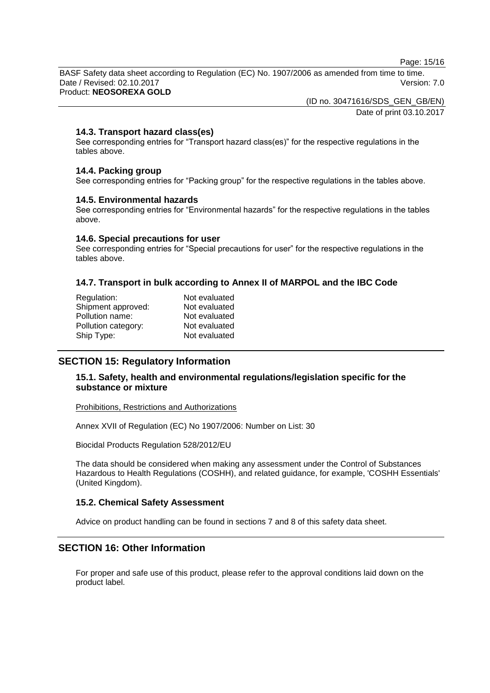Page: 15/16

BASF Safety data sheet according to Regulation (EC) No. 1907/2006 as amended from time to time. Date / Revised: 02.10.2017 Version: 7.0 Product: **NEOSOREXA GOLD**

(ID no. 30471616/SDS\_GEN\_GB/EN)

Date of print 03.10.2017

# **14.3. Transport hazard class(es)**

See corresponding entries for "Transport hazard class(es)" for the respective regulations in the tables above.

#### **14.4. Packing group**

See corresponding entries for "Packing group" for the respective regulations in the tables above.

#### **14.5. Environmental hazards**

See corresponding entries for "Environmental hazards" for the respective regulations in the tables above.

#### **14.6. Special precautions for user**

See corresponding entries for "Special precautions for user" for the respective regulations in the tables above.

# **14.7. Transport in bulk according to Annex II of MARPOL and the IBC Code**

| Regulation:         | Not evaluated |
|---------------------|---------------|
| Shipment approved:  | Not evaluated |
| Pollution name:     | Not evaluated |
| Pollution category: | Not evaluated |
| Ship Type:          | Not evaluated |
|                     |               |

# **SECTION 15: Regulatory Information**

# **15.1. Safety, health and environmental regulations/legislation specific for the substance or mixture**

Prohibitions, Restrictions and Authorizations

Annex XVII of Regulation (EC) No 1907/2006: Number on List: 30

Biocidal Products Regulation 528/2012/EU

The data should be considered when making any assessment under the Control of Substances Hazardous to Health Regulations (COSHH), and related guidance, for example, 'COSHH Essentials' (United Kingdom).

#### **15.2. Chemical Safety Assessment**

Advice on product handling can be found in sections 7 and 8 of this safety data sheet.

# **SECTION 16: Other Information**

For proper and safe use of this product, please refer to the approval conditions laid down on the product label.